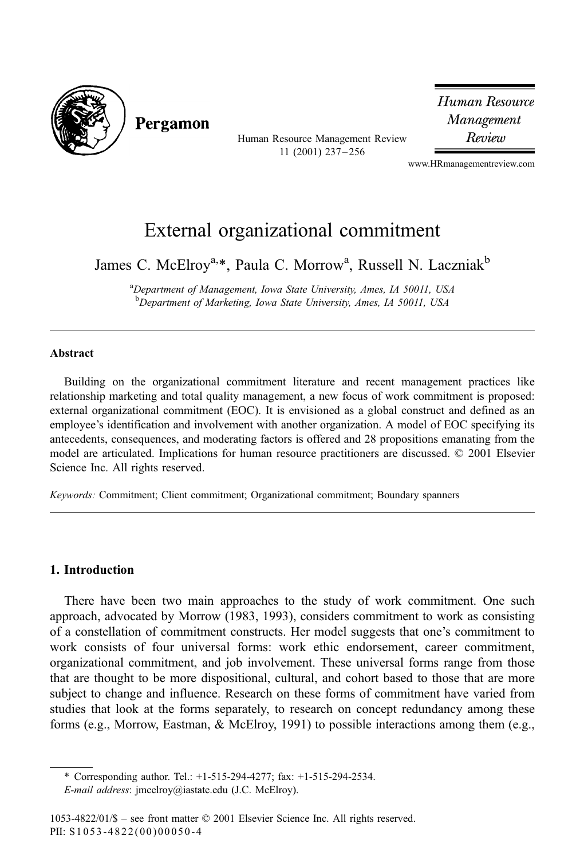

Pergamon

Human Resource Management Review 11 (2001) 237-256

Human Resource Management Review

www.HRmanagementreview.com

## External organizational commitment

James C. McElroy<sup>a,\*</sup>, Paula C. Morrow<sup>a</sup>, Russell N. Laczniak<sup>b</sup>

<sup>a</sup>Department of Management, Iowa State University, Ames, IA 50011, USA <sup>b</sup>Department of Marketing, Iowa State University, Ames, IA 50011, USA

## Abstract

Building on the organizational commitment literature and recent management practices like relationship marketing and total quality management, a new focus of work commitment is proposed: external organizational commitment (EOC). It is envisioned as a global construct and defined as an employee's identification and involvement with another organization. A model of EOC specifying its antecedents, consequences, and moderating factors is offered and 28 propositions emanating from the model are articulated. Implications for human resource practitioners are discussed. © 2001 Elsevier Science Inc. All rights reserved.

Keywords: Commitment; Client commitment; Organizational commitment; Boundary spanners

## 1. Introduction

There have been two main approaches to the study of work commitment. One such approach, advocated by Morrow (1983, 1993), considers commitment to work as consisting of a constellation of commitment constructs. Her model suggests that one's commitment to work consists of four universal forms: work ethic endorsement, career commitment, organizational commitment, and job involvement. These universal forms range from those that are thought to be more dispositional, cultural, and cohort based to those that are more subject to change and influence. Research on these forms of commitment have varied from studies that look at the forms separately, to research on concept redundancy among these forms (e.g., Morrow, Eastman, & McElroy, 1991) to possible interactions among them (e.g.,

<sup>\*</sup> Corresponding author. Tel.:  $+1-515-294-4277$ ; fax:  $+1-515-294-2534$ .

E-mail address: jmcelroy@iastate.edu (J.C. McElroy).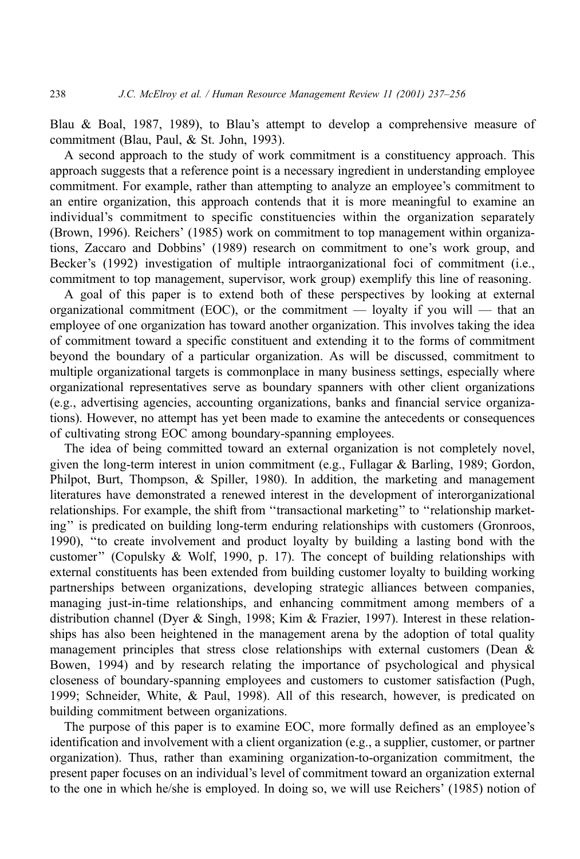Blau & Boal, 1987, 1989), to Blau's attempt to develop a comprehensive measure of commitment (Blau, Paul, & St. John, 1993).

A second approach to the study of work commitment is a constituency approach. This approach suggests that a reference point is a necessary ingredient in understanding employee commitment. For example, rather than attempting to analyze an employee's commitment to an entire organization, this approach contends that it is more meaningful to examine an individual's commitment to specific constituencies within the organization separately (Brown, 1996). Reichers' (1985) work on commitment to top management within organizations, Zaccaro and Dobbins' (1989) research on commitment to one's work group, and Becker's (1992) investigation of multiple intraorganizational foci of commitment (i.e., commitment to top management, supervisor, work group) exemplify this line of reasoning.

A goal of this paper is to extend both of these perspectives by looking at external organizational commitment (EOC), or the commitment — loyalty if you will — that an employee of one organization has toward another organization. This involves taking the idea of commitment toward a specific constituent and extending it to the forms of commitment beyond the boundary of a particular organization. As will be discussed, commitment to multiple organizational targets is commonplace in many business settings, especially where organizational representatives serve as boundary spanners with other client organizations (e.g., advertising agencies, accounting organizations, banks and financial service organizations). However, no attempt has yet been made to examine the antecedents or consequences of cultivating strong EOC among boundary-spanning employees.

The idea of being committed toward an external organization is not completely novel, given the long-term interest in union commitment (e.g., Fullagar & Barling, 1989; Gordon, Philpot, Burt, Thompson, & Spiller, 1980). In addition, the marketing and management literatures have demonstrated a renewed interest in the development of interorganizational relationships. For example, the shift from "transactional marketing" to "relationship marketing" is predicated on building long-term enduring relationships with customers (Gronroos, 1990), "to create involvement and product loyalty by building a lasting bond with the customer" (Copulsky & Wolf, 1990, p. 17). The concept of building relationships with external constituents has been extended from building customer loyalty to building working partnerships between organizations, developing strategic alliances between companies, managing just-in-time relationships, and enhancing commitment among members of a distribution channel (Dyer & Singh, 1998; Kim & Frazier, 1997). Interest in these relationships has also been heightened in the management arena by the adoption of total quality management principles that stress close relationships with external customers (Dean & Bowen, 1994) and by research relating the importance of psychological and physical closeness of boundary-spanning employees and customers to customer satisfaction (Pugh, 1999; Schneider, White, & Paul, 1998). All of this research, however, is predicated on building commitment between organizations.

The purpose of this paper is to examine EOC, more formally defined as an employee's identification and involvement with a client organization (e.g., a supplier, customer, or partner organization). Thus, rather than examining organization-to-organization commitment, the present paper focuses on an individual's level of commitment toward an organization external to the one in which he/she is employed. In doing so, we will use Reichers' (1985) notion of